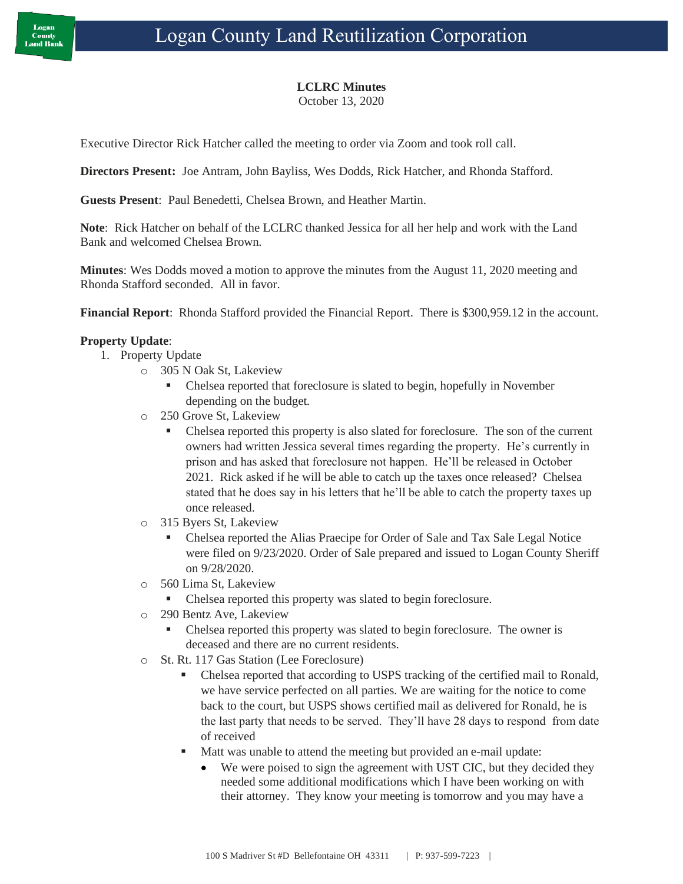**LCLRC Minutes**

October 13, 2020

Executive Director Rick Hatcher called the meeting to order via Zoom and took roll call.

**Directors Present:** Joe Antram, John Bayliss, Wes Dodds, Rick Hatcher, and Rhonda Stafford.

**Guests Present**: Paul Benedetti, Chelsea Brown, and Heather Martin.

**Note**: Rick Hatcher on behalf of the LCLRC thanked Jessica for all her help and work with the Land Bank and welcomed Chelsea Brown.

**Minutes**: Wes Dodds moved a motion to approve the minutes from the August 11, 2020 meeting and Rhonda Stafford seconded. All in favor.

**Financial Report**: Rhonda Stafford provided the Financial Report. There is \$300,959.12 in the account.

## **Property Update**:

- 1. Property Update
	- o 305 N Oak St, Lakeview
		- Chelsea reported that foreclosure is slated to begin, hopefully in November depending on the budget.
	- o 250 Grove St, Lakeview
		- Chelsea reported this property is also slated for foreclosure. The son of the current owners had written Jessica several times regarding the property. He's currently in prison and has asked that foreclosure not happen. He'll be released in October 2021. Rick asked if he will be able to catch up the taxes once released? Chelsea stated that he does say in his letters that he'll be able to catch the property taxes up once released.
	- o 315 Byers St, Lakeview
		- Chelsea reported the Alias Praecipe for Order of Sale and Tax Sale Legal Notice were filed on 9/23/2020. Order of Sale prepared and issued to Logan County Sheriff on 9/28/2020.
	- o 560 Lima St, Lakeview
		- Chelsea reported this property was slated to begin foreclosure.
	- o 290 Bentz Ave, Lakeview
		- Chelsea reported this property was slated to begin foreclosure. The owner is deceased and there are no current residents.
	- o St. Rt. 117 Gas Station (Lee Foreclosure)
		- Chelsea reported that according to USPS tracking of the certified mail to Ronald, we have service perfected on all parties. We are waiting for the notice to come back to the court, but USPS shows certified mail as delivered for Ronald, he is the last party that needs to be served. They'll have 28 days to respond from date of received
		- Matt was unable to attend the meeting but provided an e-mail update:
			- We were poised to sign the agreement with UST CIC, but they decided they needed some additional modifications which I have been working on with their attorney. They know your meeting is tomorrow and you may have a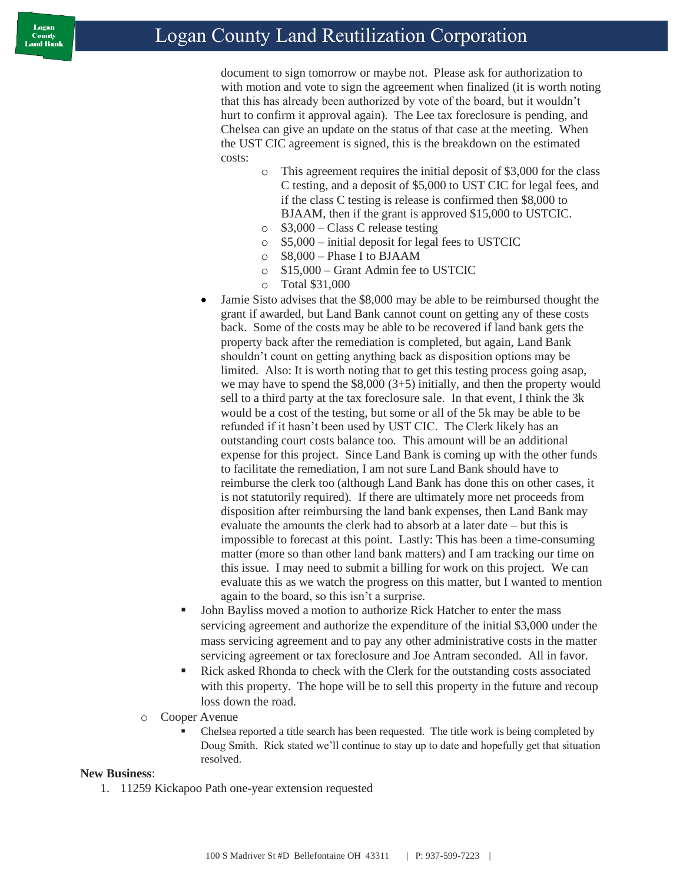document to sign tomorrow or maybe not. Please ask for authorization to with motion and vote to sign the agreement when finalized (it is worth noting that this has already been authorized by vote of the board, but it wouldn't hurt to confirm it approval again). The Lee tax foreclosure is pending, and Chelsea can give an update on the status of that case at the meeting. When the UST CIC agreement is signed, this is the breakdown on the estimated costs:

- o This agreement requires the initial deposit of \$3,000 for the class C testing, and a deposit of \$5,000 to UST CIC for legal fees, and if the class C testing is release is confirmed then \$8,000 to BJAAM, then if the grant is approved \$15,000 to USTCIC.
- o \$3,000 Class C release testing
- o \$5,000 initial deposit for legal fees to USTCIC
- o \$8,000 Phase I to BJAAM
- o \$15,000 Grant Admin fee to USTCIC
- o Total \$31,000
- Jamie Sisto advises that the \$8,000 may be able to be reimbursed thought the grant if awarded, but Land Bank cannot count on getting any of these costs back. Some of the costs may be able to be recovered if land bank gets the property back after the remediation is completed, but again, Land Bank shouldn't count on getting anything back as disposition options may be limited. Also: It is worth noting that to get this testing process going asap, we may have to spend the \$8,000 (3+5) initially, and then the property would sell to a third party at the tax foreclosure sale. In that event, I think the 3k would be a cost of the testing, but some or all of the 5k may be able to be refunded if it hasn't been used by UST CIC. The Clerk likely has an outstanding court costs balance too. This amount will be an additional expense for this project. Since Land Bank is coming up with the other funds to facilitate the remediation, I am not sure Land Bank should have to reimburse the clerk too (although Land Bank has done this on other cases, it is not statutorily required). If there are ultimately more net proceeds from disposition after reimbursing the land bank expenses, then Land Bank may evaluate the amounts the clerk had to absorb at a later date – but this is impossible to forecast at this point. Lastly: This has been a time-consuming matter (more so than other land bank matters) and I am tracking our time on this issue. I may need to submit a billing for work on this project. We can evaluate this as we watch the progress on this matter, but I wanted to mention again to the board, so this isn't a surprise.
- John Bayliss moved a motion to authorize Rick Hatcher to enter the mass servicing agreement and authorize the expenditure of the initial \$3,000 under the mass servicing agreement and to pay any other administrative costs in the matter servicing agreement or tax foreclosure and Joe Antram seconded. All in favor.
- Rick asked Rhonda to check with the Clerk for the outstanding costs associated with this property. The hope will be to sell this property in the future and recoup loss down the road.
- o Cooper Avenue
	- Chelsea reported a title search has been requested. The title work is being completed by Doug Smith. Rick stated we'll continue to stay up to date and hopefully get that situation resolved.

## **New Business**:

1. 11259 Kickapoo Path one-year extension requested